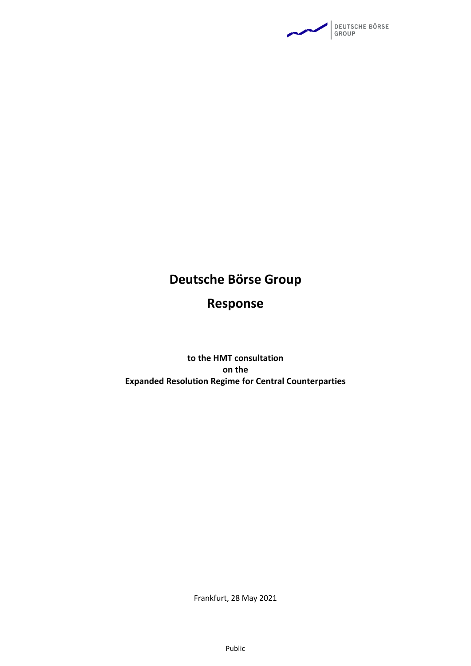

# **Deutsche Börse Group**

# **Response**

### **to the HMT consultation on the Expanded Resolution Regime for Central Counterparties**

Frankfurt, 28 May 2021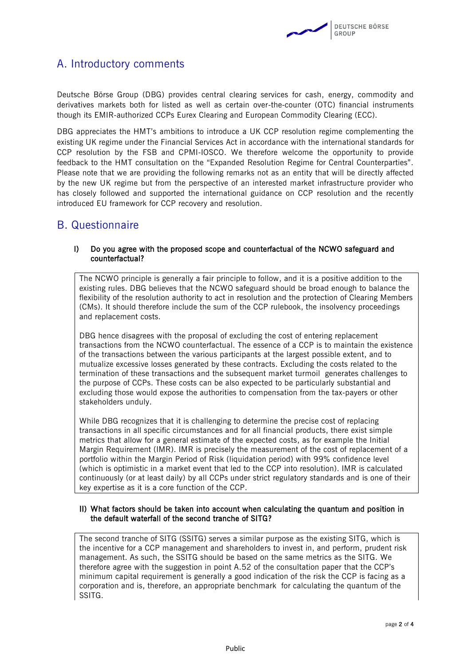

## A. Introductory comments

Deutsche Börse Group (DBG) provides central clearing services for cash, energy, commodity and derivatives markets both for listed as well as certain over-the-counter (OTC) financial instruments though its EMIR-authorized CCPs Eurex Clearing and European Commodity Clearing (ECC).

DBG appreciates the HMT's ambitions to introduce a UK CCP resolution regime complementing the existing UK regime under the Financial Services Act in accordance with the international standards for CCP resolution by the FSB and CPMI-IOSCO. We therefore welcome the opportunity to provide feedback to the HMT consultation on the "Expanded Resolution Regime for Central Counterparties". Please note that we are providing the following remarks not as an entity that will be directly affected by the new UK regime but from the perspective of an interested market infrastructure provider who has closely followed and supported the international guidance on CCP resolution and the recently introduced EU framework for CCP recovery and resolution.

### B. Questionnaire

#### I) Do you agree with the proposed scope and counterfactual of the NCWO safeguard and counterfactual?

The NCWO principle is generally a fair principle to follow, and it is a positive addition to the existing rules. DBG believes that the NCWO safeguard should be broad enough to balance the flexibility of the resolution authority to act in resolution and the protection of Clearing Members (CMs). It should therefore include the sum of the CCP rulebook, the insolvency proceedings and replacement costs.

DBG hence disagrees with the proposal of excluding the cost of entering replacement transactions from the NCWO counterfactual. The essence of a CCP is to maintain the existence of the transactions between the various participants at the largest possible extent, and to mutualize excessive losses generated by these contracts. Excluding the costs related to the termination of these transactions and the subsequent market turmoil generates challenges to the purpose of CCPs. These costs can be also expected to be particularly substantial and excluding those would expose the authorities to compensation from the tax-payers or other stakeholders unduly.

While DBG recognizes that it is challenging to determine the precise cost of replacing transactions in all specific circumstances and for all financial products, there exist simple metrics that allow for a general estimate of the expected costs, as for example the Initial Margin Requirement (IMR). IMR is precisely the measurement of the cost of replacement of a portfolio within the Margin Period of Risk (liquidation period) with 99% confidence level (which is optimistic in a market event that led to the CCP into resolution). IMR is calculated continuously (or at least daily) by all CCPs under strict regulatory standards and is one of their key expertise as it is a core function of the CCP.

#### II) What factors should be taken into account when calculating the quantum and position in the default waterfall of the second tranche of SITG?

The second tranche of SITG (SSITG) serves a similar purpose as the existing SITG, which is the incentive for a CCP management and shareholders to invest in, and perform, prudent risk management. As such, the SSITG should be based on the same metrics as the SITG. We therefore agree with the suggestion in point A.52 of the consultation paper that the CCP's minimum capital requirement is generally a good indication of the risk the CCP is facing as a corporation and is, therefore, an appropriate benchmark for calculating the quantum of the SSITG.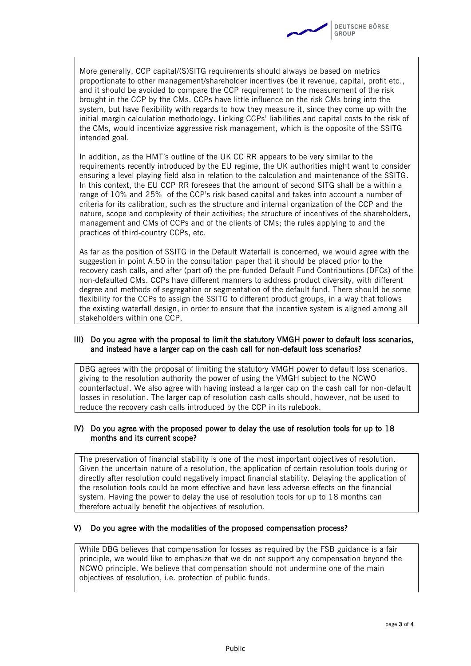

More generally, CCP capital/(S)SITG requirements should always be based on metrics proportionate to other management/shareholder incentives (be it revenue, capital, profit etc., and it should be avoided to compare the CCP requirement to the measurement of the risk brought in the CCP by the CMs. CCPs have little influence on the risk CMs bring into the system, but have flexibility with regards to how they measure it, since they come up with the initial margin calculation methodology. Linking CCPs' liabilities and capital costs to the risk of the CMs, would incentivize aggressive risk management, which is the opposite of the SSITG intended goal.

In addition, as the HMT's outline of the UK CC RR appears to be very similar to the requirements recently introduced by the EU regime, the UK authorities might want to consider ensuring a level playing field also in relation to the calculation and maintenance of the SSITG. In this context, the EU CCP RR foresees that the amount of second SITG shall be a within a range of 10% and 25% of the CCP's risk based capital and takes into account a number of criteria for its calibration, such as the structure and internal organization of the CCP and the nature, scope and complexity of their activities; the structure of incentives of the shareholders, management and CMs of CCPs and of the clients of CMs; the rules applying to and the practices of third-country CCPs, etc.

As far as the position of SSITG in the Default Waterfall is concerned, we would agree with the suggestion in point A.50 in the consultation paper that it should be placed prior to the recovery cash calls, and after (part of) the pre-funded Default Fund Contributions (DFCs) of the non-defaulted CMs. CCPs have different manners to address product diversity, with different degree and methods of segregation or segmentation of the default fund. There should be some flexibility for the CCPs to assign the SSITG to different product groups, in a way that follows the existing waterfall design, in order to ensure that the incentive system is aligned among all stakeholders within one CCP.

#### III) Do you agree with the proposal to limit the statutory VMGH power to default loss scenarios, and instead have a larger cap on the cash call for non-default loss scenarios?

DBG agrees with the proposal of limiting the statutory VMGH power to default loss scenarios, giving to the resolution authority the power of using the VMGH subject to the NCWO counterfactual. We also agree with having instead a larger cap on the cash call for non-default losses in resolution. The larger cap of resolution cash calls should, however, not be used to reduce the recovery cash calls introduced by the CCP in its rulebook.

#### IV) Do you agree with the proposed power to delay the use of resolution tools for up to 18 months and its current scope?

The preservation of financial stability is one of the most important objectives of resolution. Given the uncertain nature of a resolution, the application of certain resolution tools during or directly after resolution could negatively impact financial stability. Delaying the application of the resolution tools could be more effective and have less adverse effects on the financial system. Having the power to delay the use of resolution tools for up to 18 months can therefore actually benefit the objectives of resolution.

#### V) Do you agree with the modalities of the proposed compensation process?

While DBG believes that compensation for losses as required by the FSB guidance is a fair principle, we would like to emphasize that we do not support any compensation beyond the NCWO principle. We believe that compensation should not undermine one of the main objectives of resolution, i.e. protection of public funds.